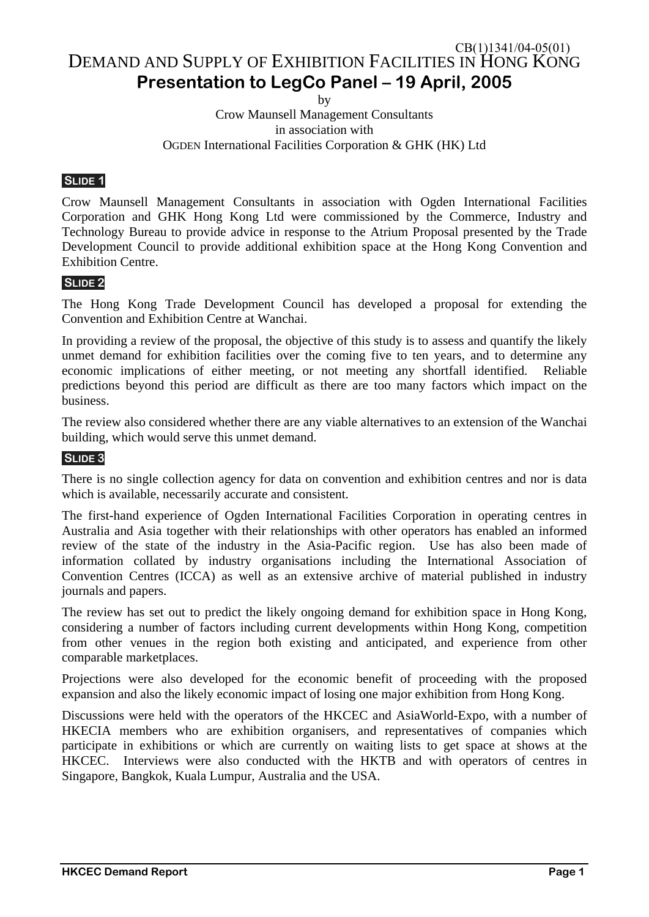# DEMAND AND SUPPLY OF EXHIBITION FACILITIES IN HONG KONG **Presentation to LegCo Panel – 19 April, 2005**  CB(1)1341/04-05(01)

by

#### Crow Maunsell Management Consultants in association with OGDEN International Facilities Corporation & GHK (HK) Ltd

#### **SLIDE 1**

Crow Maunsell Management Consultants in association with Ogden International Facilities Corporation and GHK Hong Kong Ltd were commissioned by the Commerce, Industry and Technology Bureau to provide advice in response to the Atrium Proposal presented by the Trade Development Council to provide additional exhibition space at the Hong Kong Convention and Exhibition Centre.

### **SLIDE 2**

The Hong Kong Trade Development Council has developed a proposal for extending the Convention and Exhibition Centre at Wanchai.

In providing a review of the proposal, the objective of this study is to assess and quantify the likely unmet demand for exhibition facilities over the coming five to ten years, and to determine any economic implications of either meeting, or not meeting any shortfall identified. Reliable predictions beyond this period are difficult as there are too many factors which impact on the business.

The review also considered whether there are any viable alternatives to an extension of the Wanchai building, which would serve this unmet demand.

#### **SLIDE 3**

There is no single collection agency for data on convention and exhibition centres and nor is data which is available, necessarily accurate and consistent.

The first-hand experience of Ogden International Facilities Corporation in operating centres in Australia and Asia together with their relationships with other operators has enabled an informed review of the state of the industry in the Asia-Pacific region. Use has also been made of information collated by industry organisations including the International Association of Convention Centres (ICCA) as well as an extensive archive of material published in industry journals and papers.

The review has set out to predict the likely ongoing demand for exhibition space in Hong Kong, considering a number of factors including current developments within Hong Kong, competition from other venues in the region both existing and anticipated, and experience from other comparable marketplaces.

Projections were also developed for the economic benefit of proceeding with the proposed expansion and also the likely economic impact of losing one major exhibition from Hong Kong.

Discussions were held with the operators of the HKCEC and AsiaWorld-Expo, with a number of HKECIA members who are exhibition organisers, and representatives of companies which participate in exhibitions or which are currently on waiting lists to get space at shows at the HKCEC. Interviews were also conducted with the HKTB and with operators of centres in Singapore, Bangkok, Kuala Lumpur, Australia and the USA.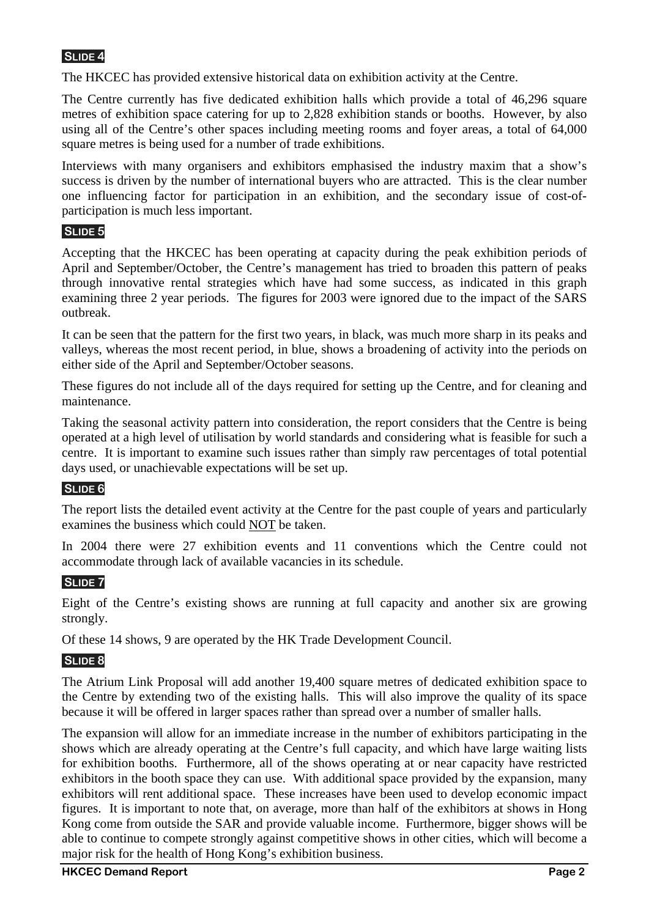### **SLIDE 4**

The HKCEC has provided extensive historical data on exhibition activity at the Centre.

The Centre currently has five dedicated exhibition halls which provide a total of 46,296 square metres of exhibition space catering for up to 2,828 exhibition stands or booths. However, by also using all of the Centre's other spaces including meeting rooms and foyer areas, a total of 64,000 square metres is being used for a number of trade exhibitions.

Interviews with many organisers and exhibitors emphasised the industry maxim that a show's success is driven by the number of international buyers who are attracted. This is the clear number one influencing factor for participation in an exhibition, and the secondary issue of cost-ofparticipation is much less important.

### **SLIDE 5**

Accepting that the HKCEC has been operating at capacity during the peak exhibition periods of April and September/October, the Centre's management has tried to broaden this pattern of peaks through innovative rental strategies which have had some success, as indicated in this graph examining three 2 year periods. The figures for 2003 were ignored due to the impact of the SARS outbreak.

It can be seen that the pattern for the first two years, in black, was much more sharp in its peaks and valleys, whereas the most recent period, in blue, shows a broadening of activity into the periods on either side of the April and September/October seasons.

These figures do not include all of the days required for setting up the Centre, and for cleaning and maintenance.

Taking the seasonal activity pattern into consideration, the report considers that the Centre is being operated at a high level of utilisation by world standards and considering what is feasible for such a centre. It is important to examine such issues rather than simply raw percentages of total potential days used, or unachievable expectations will be set up.

### **SLIDE 6**

The report lists the detailed event activity at the Centre for the past couple of years and particularly examines the business which could NOT be taken.

In 2004 there were 27 exhibition events and 11 conventions which the Centre could not accommodate through lack of available vacancies in its schedule.

#### **SLIDE 7**

Eight of the Centre's existing shows are running at full capacity and another six are growing strongly.

Of these 14 shows, 9 are operated by the HK Trade Development Council.

#### **SLIDE 8**

The Atrium Link Proposal will add another 19,400 square metres of dedicated exhibition space to the Centre by extending two of the existing halls. This will also improve the quality of its space because it will be offered in larger spaces rather than spread over a number of smaller halls.

The expansion will allow for an immediate increase in the number of exhibitors participating in the shows which are already operating at the Centre's full capacity, and which have large waiting lists for exhibition booths. Furthermore, all of the shows operating at or near capacity have restricted exhibitors in the booth space they can use. With additional space provided by the expansion, many exhibitors will rent additional space. These increases have been used to develop economic impact figures. It is important to note that, on average, more than half of the exhibitors at shows in Hong Kong come from outside the SAR and provide valuable income. Furthermore, bigger shows will be able to continue to compete strongly against competitive shows in other cities, which will become a major risk for the health of Hong Kong's exhibition business.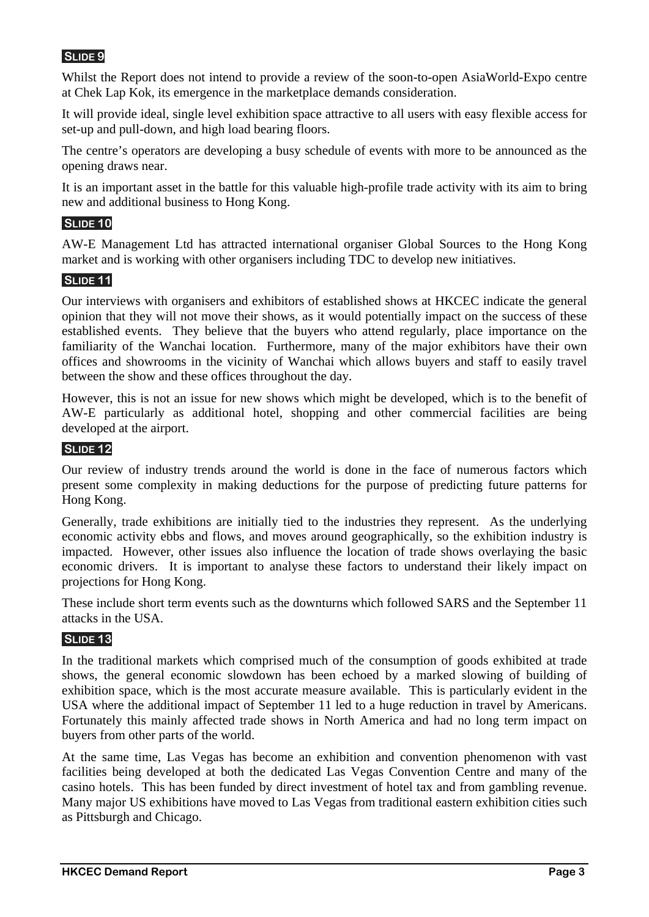# **SLIDE 9**

Whilst the Report does not intend to provide a review of the soon-to-open AsiaWorld-Expo centre at Chek Lap Kok, its emergence in the marketplace demands consideration.

It will provide ideal, single level exhibition space attractive to all users with easy flexible access for set-up and pull-down, and high load bearing floors.

The centre's operators are developing a busy schedule of events with more to be announced as the opening draws near.

It is an important asset in the battle for this valuable high-profile trade activity with its aim to bring new and additional business to Hong Kong.

### **SLIDE 10**

AW-E Management Ltd has attracted international organiser Global Sources to the Hong Kong market and is working with other organisers including TDC to develop new initiatives.

### **SLIDE 11**

Our interviews with organisers and exhibitors of established shows at HKCEC indicate the general opinion that they will not move their shows, as it would potentially impact on the success of these established events. They believe that the buyers who attend regularly, place importance on the familiarity of the Wanchai location. Furthermore, many of the major exhibitors have their own offices and showrooms in the vicinity of Wanchai which allows buyers and staff to easily travel between the show and these offices throughout the day.

However, this is not an issue for new shows which might be developed, which is to the benefit of AW-E particularly as additional hotel, shopping and other commercial facilities are being developed at the airport.

#### **SLIDE 12**

Our review of industry trends around the world is done in the face of numerous factors which present some complexity in making deductions for the purpose of predicting future patterns for Hong Kong.

Generally, trade exhibitions are initially tied to the industries they represent. As the underlying economic activity ebbs and flows, and moves around geographically, so the exhibition industry is impacted. However, other issues also influence the location of trade shows overlaying the basic economic drivers. It is important to analyse these factors to understand their likely impact on projections for Hong Kong.

These include short term events such as the downturns which followed SARS and the September 11 attacks in the USA.

#### **SLIDE 13**

In the traditional markets which comprised much of the consumption of goods exhibited at trade shows, the general economic slowdown has been echoed by a marked slowing of building of exhibition space, which is the most accurate measure available. This is particularly evident in the USA where the additional impact of September 11 led to a huge reduction in travel by Americans. Fortunately this mainly affected trade shows in North America and had no long term impact on buyers from other parts of the world.

At the same time, Las Vegas has become an exhibition and convention phenomenon with vast facilities being developed at both the dedicated Las Vegas Convention Centre and many of the casino hotels. This has been funded by direct investment of hotel tax and from gambling revenue. Many major US exhibitions have moved to Las Vegas from traditional eastern exhibition cities such as Pittsburgh and Chicago.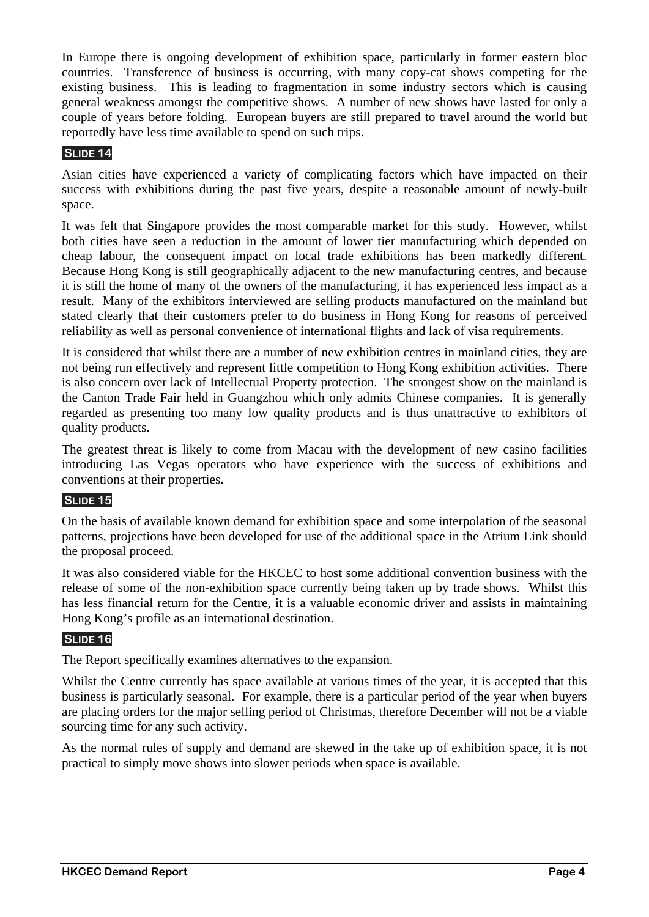In Europe there is ongoing development of exhibition space, particularly in former eastern bloc countries. Transference of business is occurring, with many copy-cat shows competing for the existing business. This is leading to fragmentation in some industry sectors which is causing general weakness amongst the competitive shows. A number of new shows have lasted for only a couple of years before folding. European buyers are still prepared to travel around the world but reportedly have less time available to spend on such trips.

### **SLIDE 14**

Asian cities have experienced a variety of complicating factors which have impacted on their success with exhibitions during the past five years, despite a reasonable amount of newly-built space.

It was felt that Singapore provides the most comparable market for this study. However, whilst both cities have seen a reduction in the amount of lower tier manufacturing which depended on cheap labour, the consequent impact on local trade exhibitions has been markedly different. Because Hong Kong is still geographically adjacent to the new manufacturing centres, and because it is still the home of many of the owners of the manufacturing, it has experienced less impact as a result. Many of the exhibitors interviewed are selling products manufactured on the mainland but stated clearly that their customers prefer to do business in Hong Kong for reasons of perceived reliability as well as personal convenience of international flights and lack of visa requirements.

It is considered that whilst there are a number of new exhibition centres in mainland cities, they are not being run effectively and represent little competition to Hong Kong exhibition activities. There is also concern over lack of Intellectual Property protection. The strongest show on the mainland is the Canton Trade Fair held in Guangzhou which only admits Chinese companies. It is generally regarded as presenting too many low quality products and is thus unattractive to exhibitors of quality products.

The greatest threat is likely to come from Macau with the development of new casino facilities introducing Las Vegas operators who have experience with the success of exhibitions and conventions at their properties.

# **SLIDE 15**

On the basis of available known demand for exhibition space and some interpolation of the seasonal patterns, projections have been developed for use of the additional space in the Atrium Link should the proposal proceed.

It was also considered viable for the HKCEC to host some additional convention business with the release of some of the non-exhibition space currently being taken up by trade shows. Whilst this has less financial return for the Centre, it is a valuable economic driver and assists in maintaining Hong Kong's profile as an international destination.

### **SLIDE 16**

The Report specifically examines alternatives to the expansion.

Whilst the Centre currently has space available at various times of the year, it is accepted that this business is particularly seasonal. For example, there is a particular period of the year when buyers are placing orders for the major selling period of Christmas, therefore December will not be a viable sourcing time for any such activity.

As the normal rules of supply and demand are skewed in the take up of exhibition space, it is not practical to simply move shows into slower periods when space is available.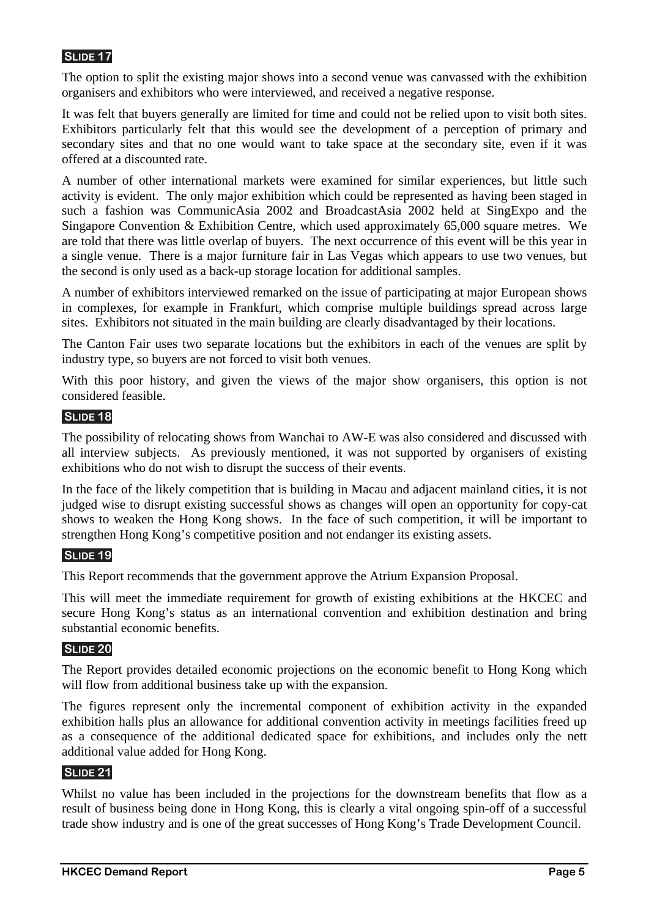### **SLIDE 17**

The option to split the existing major shows into a second venue was canvassed with the exhibition organisers and exhibitors who were interviewed, and received a negative response.

It was felt that buyers generally are limited for time and could not be relied upon to visit both sites. Exhibitors particularly felt that this would see the development of a perception of primary and secondary sites and that no one would want to take space at the secondary site, even if it was offered at a discounted rate.

A number of other international markets were examined for similar experiences, but little such activity is evident. The only major exhibition which could be represented as having been staged in such a fashion was CommunicAsia 2002 and BroadcastAsia 2002 held at SingExpo and the Singapore Convention & Exhibition Centre, which used approximately 65,000 square metres. We are told that there was little overlap of buyers. The next occurrence of this event will be this year in a single venue. There is a major furniture fair in Las Vegas which appears to use two venues, but the second is only used as a back-up storage location for additional samples.

A number of exhibitors interviewed remarked on the issue of participating at major European shows in complexes, for example in Frankfurt, which comprise multiple buildings spread across large sites. Exhibitors not situated in the main building are clearly disadvantaged by their locations.

The Canton Fair uses two separate locations but the exhibitors in each of the venues are split by industry type, so buyers are not forced to visit both venues.

With this poor history, and given the views of the major show organisers, this option is not considered feasible.

### **SLIDE 18**

The possibility of relocating shows from Wanchai to AW-E was also considered and discussed with all interview subjects. As previously mentioned, it was not supported by organisers of existing exhibitions who do not wish to disrupt the success of their events.

In the face of the likely competition that is building in Macau and adjacent mainland cities, it is not judged wise to disrupt existing successful shows as changes will open an opportunity for copy-cat shows to weaken the Hong Kong shows. In the face of such competition, it will be important to strengthen Hong Kong's competitive position and not endanger its existing assets.

#### **SLIDE 19**

This Report recommends that the government approve the Atrium Expansion Proposal.

This will meet the immediate requirement for growth of existing exhibitions at the HKCEC and secure Hong Kong's status as an international convention and exhibition destination and bring substantial economic benefits.

#### **SLIDE 20**

The Report provides detailed economic projections on the economic benefit to Hong Kong which will flow from additional business take up with the expansion.

The figures represent only the incremental component of exhibition activity in the expanded exhibition halls plus an allowance for additional convention activity in meetings facilities freed up as a consequence of the additional dedicated space for exhibitions, and includes only the nett additional value added for Hong Kong.

#### **SLIDE 21**

Whilst no value has been included in the projections for the downstream benefits that flow as a result of business being done in Hong Kong, this is clearly a vital ongoing spin-off of a successful trade show industry and is one of the great successes of Hong Kong's Trade Development Council.